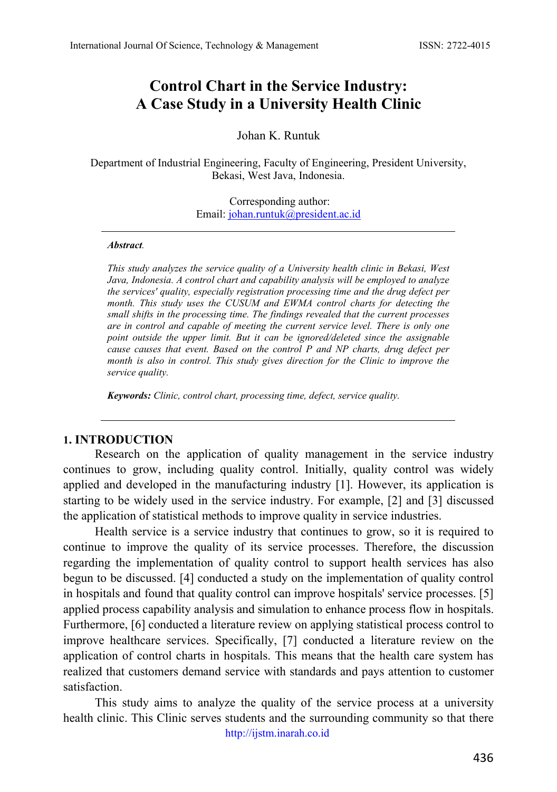# **Control Chart in the Service Industry: A Case Study in a University Health Clinic**

#### Johan K. Runtuk

Department of Industrial Engineering, Faculty of Engineering, President University, Bekasi, West Java, Indonesia.

> Corresponding author: Email: [johan.runtuk@president.ac.id](mailto:johan.runtuk@president.ac.id)

#### *Abstract.*

*This study analyzes the service quality of a University health clinic in Bekasi, West Java, Indonesia. A control chart and capability analysis will be employed to analyze the services' quality, especially registration processing time and the drug defect per month. This study uses the CUSUM and EWMA control charts for detecting the small shifts in the processing time. The findings revealed that the current processes are in control and capable of meeting the current service level. There is only one point outside the upper limit. But it can be ignored/deleted since the assignable cause causes that event. Based on the control P and NP charts, drug defect per month is also in control. This study gives direction for the Clinic to improve the service quality.*

*Keywords: Clinic, control chart, processing time, defect, service quality.*

#### **1. INTRODUCTION**

Research on the application of quality management in the service industry continues to grow, including quality control. Initially, quality control was widely applied and developed in the manufacturing industry [1]. However, its application is starting to be widely used in the service industry. For example, [2] and [3] discussed the application of statistical methods to improve quality in service industries.

Health service is a service industry that continues to grow, so it is required to continue to improve the quality of its service processes. Therefore, the discussion regarding the implementation of quality control to support health services has also begun to be discussed. [4] conducted a study on the implementation of quality control in hospitals and found that quality control can improve hospitals' service processes. [5] applied process capability analysis and simulation to enhance process flow in hospitals. Furthermore, [6] conducted a literature review on applying statistical process control to improve healthcare services. Specifically, [7] conducted a literature review on the application of control charts in hospitals. This means that the health care system has realized that customers demand service with standards and pays attention to customer satisfaction.

[http://ijstm.inarah.co.id](http://ijstm.inarah.co.id/index.php/ijstm/about/submissions) This study aims to analyze the quality of the service process at a university health clinic. This Clinic serves students and the surrounding community so that there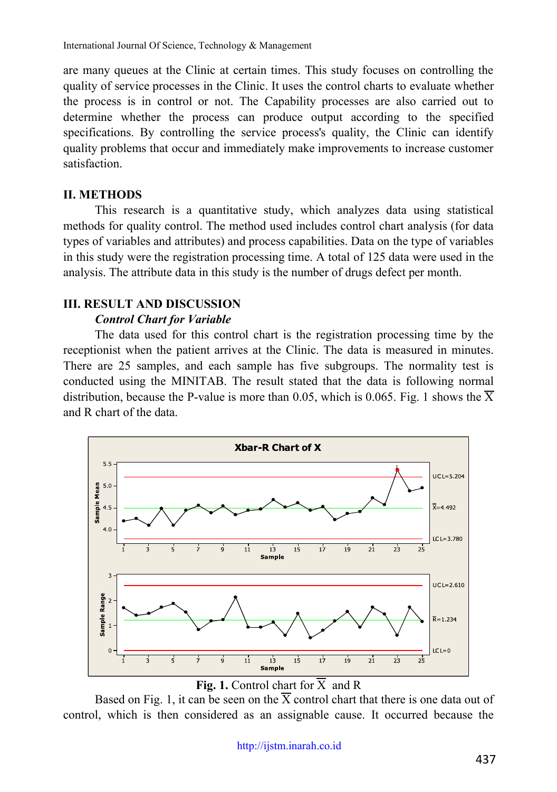are many queues at the Clinic at certain times. This study focuses on controlling the quality of service processes in the Clinic. It uses the control charts to evaluate whether the process is in control or not. The Capability processes are also carried out to determine whether the process can produce output according to the specified specifications. By controlling the service process's quality, the Clinic can identify quality problems that occur and immediately make improvements to increase customer satisfaction.

## **II. METHODS**

This research is a quantitative study, which analyzes data using statistical methods for quality control. The method used includes control chart analysis (for data types of variables and attributes) and process capabilities. Data on the type of variables in this study were the registration processing time. A total of 125 data were used in the analysis. The attribute data in this study is the number of drugs defect per month.

# **III. RESULT AND DISCUSSION**

# *Control Chart for Variable*

The data used for this control chart is the registration processing time by the receptionist when the patient arrives at the Clinic. The data is measured in minutes. There are 25 samples, and each sample has five subgroups. The normality test is conducted using the MINITAB. The result stated that the data is following normal distribution, because the P-value is more than 0.05, which is 0.065. Fig. 1 shows the  $\overline{X}$ and R chart of the data.



**Fig. 1.** Control chart for  $\overline{X}$  and R

Based on Fig. 1, it can be seen on the  $\overline{X}$  control chart that there is one data out of control, which is then considered as an assignable cause. It occurred because the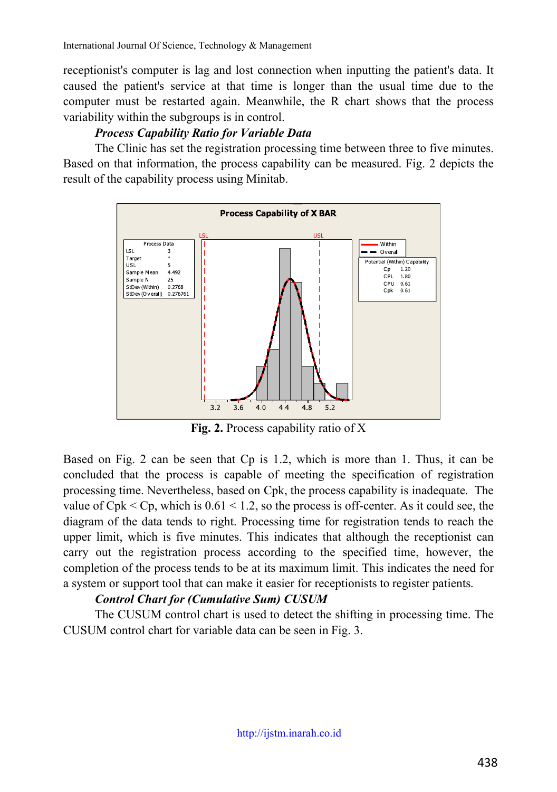receptionist's computer is lag and lost connection when inputting the patient's data. It caused the patient's service at that time is longer than the usual time due to the computer must be restarted again. Meanwhile, the R chart shows that the process variability within the subgroups is in control.

# *Process Capability Ratio for Variable Data*

The Clinic has set the registration processing time between three to five minutes. Based on that information, the process capability can be measured. Fig. 2 depicts the result of the capability process using Minitab.



**Fig. 2.** Process capability ratio of X

Based on Fig. 2 can be seen that Cp is 1.2, which is more than 1. Thus, it can be concluded that the process is capable of meeting the specification of registration processing time. Nevertheless, based on Cpk, the process capability is inadequate. The value of  $Cpk < Cp$ , which is  $0.61 < 1.2$ , so the process is off-center. As it could see, the diagram of the data tends to right. Processing time for registration tends to reach the upper limit, which is five minutes. This indicates that although the receptionist can carry out the registration process according to the specified time, however, the completion of the process tends to be at its maximum limit. This indicates the need for a system or support tool that can make it easier for receptionists to register patients.

# *Control Chart for (Cumulative Sum) CUSUM*

The CUSUM control chart is used to detect the shifting in processing time. The CUSUM control chart for variable data can be seen in Fig. 3.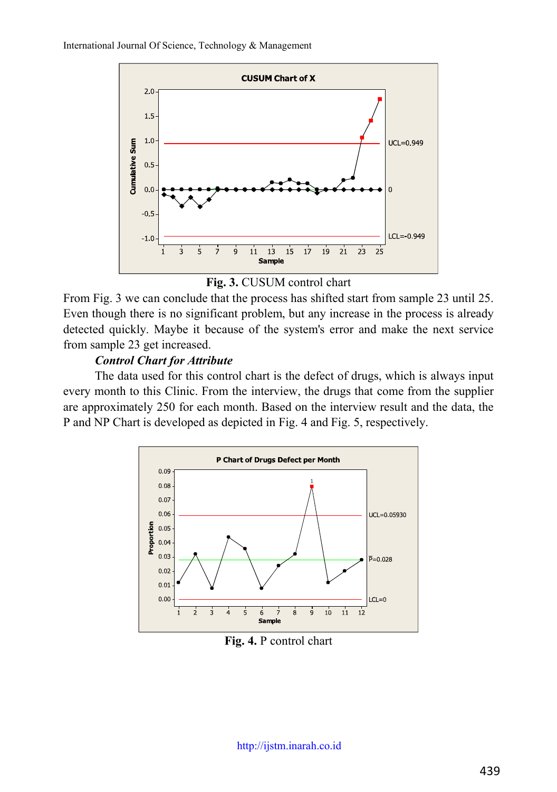

**Fig. 3.** CUSUM control chart

From Fig. 3 we can conclude that the process has shifted start from sample 23 until 25. Even though there is no significant problem, but any increase in the process is already detected quickly. Maybe it because of the system's error and make the next service from sample 23 get increased.

# *Control Chart for Attribute*

The data used for this control chart is the defect of drugs, which is always input every month to this Clinic. From the interview, the drugs that come from the supplier are approximately 250 for each month. Based on the interview result and the data, the P and NP Chart is developed as depicted in Fig. 4 and Fig. 5, respectively.



**Fig. 4.** P control chart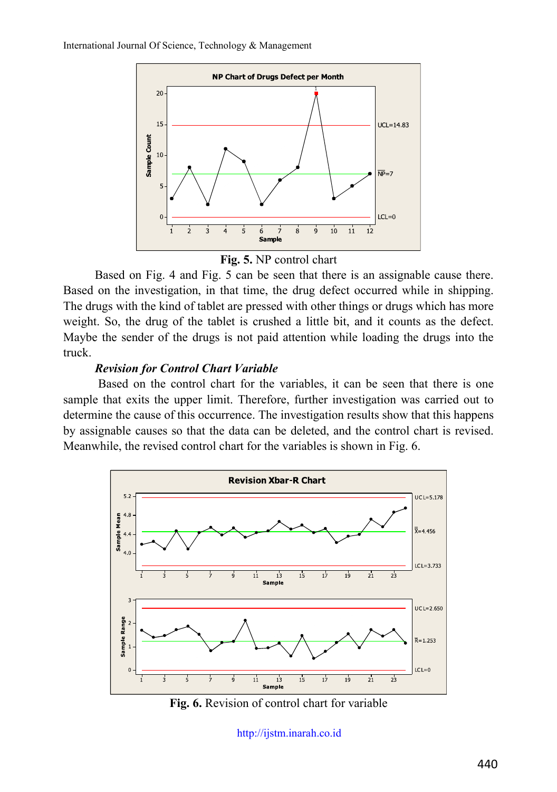



Based on Fig. 4 and Fig. 5 can be seen that there is an assignable cause there. Based on the investigation, in that time, the drug defect occurred while in shipping. The drugs with the kind of tablet are pressed with other things or drugs which has more weight. So, the drug of the tablet is crushed a little bit, and it counts as the defect. Maybe the sender of the drugs is not paid attention while loading the drugs into the truck.

#### *Revision for Control Chart Variable*

Based on the control chart for the variables, it can be seen that there is one sample that exits the upper limit. Therefore, further investigation was carried out to determine the cause of this occurrence. The investigation results show that this happens by assignable causes so that the data can be deleted, and the control chart is revised. Meanwhile, the revised control chart for the variables is shown in Fig. 6.



**Fig. 6.** Revision of control chart for variable